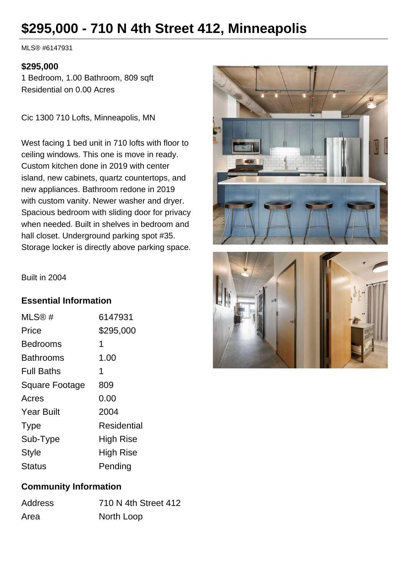## **\$295,000 - 710 N 4th Street 412, Minneapolis**

MLS® #6147931

## **\$295,000**

1 Bedroom, 1.00 Bathroom, 809 sqft Residential on 0.00 Acres

Cic 1300 710 Lofts, Minneapolis, MN

West facing 1 bed unit in 710 lofts with floor to ceiling windows. This one is move in ready. Custom kitchen done in 2019 with center island, new cabinets, quartz countertops, and new appliances. Bathroom redone in 2019 with custom vanity. Newer washer and dryer. Spacious bedroom with sliding door for privacy when needed. Built in shelves in bedroom and hall closet. Underground parking spot #35. Storage locker is directly above parking space.





Built in 2004

## **Essential Information**

| MLS@#                 | 6147931          |
|-----------------------|------------------|
| Price                 | \$295,000        |
| Bedrooms              | 1                |
| Bathrooms             | 1.00             |
| <b>Full Baths</b>     | 1                |
| <b>Square Footage</b> | 809              |
| Acres                 | 0.00             |
| <b>Year Built</b>     | 2004             |
| <b>Type</b>           | Residential      |
| Sub-Type              | <b>High Rise</b> |
| <b>Style</b>          | <b>High Rise</b> |
| <b>Status</b>         | Pending          |

## **Community Information**

| Address | 710 N 4th Street 412 |
|---------|----------------------|
| Area    | North Loop           |